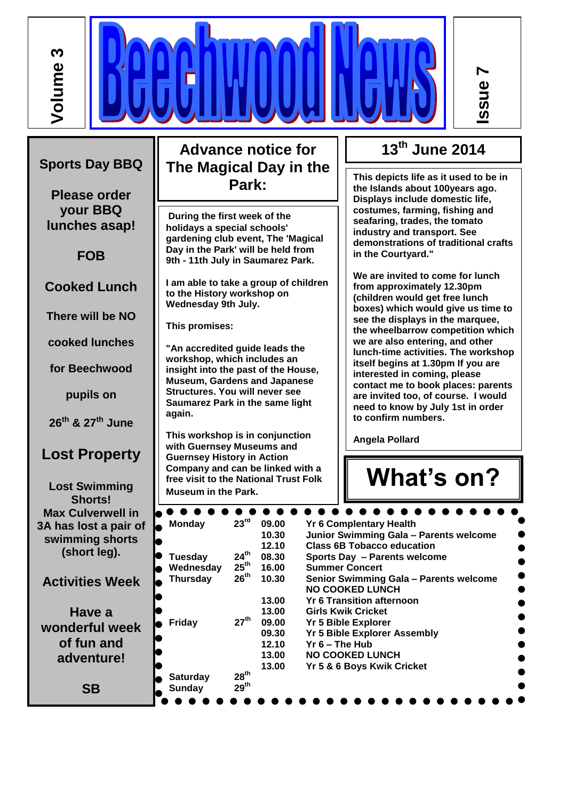**Volume 3**

**Advance notice for The Magical Day in the Park:**

**During the first week of the holidays a special schools' gardening club event, The 'Magical Day in the Park' will be held from 9th - 11th July in Saumarez Park.** 

**I am able to take a group of children to the History workshop on Wednesday 9th July.** 

**This promises:** 

**"An accredited guide leads the workshop, which includes an insight into the past of the House, Museum, Gardens and Japanese Structures. You will never see Saumarez Park in the same light again.**

**This workshop is in conjunction with Guernsey Museums and Guernsey History in Action Company and can be linked with a free visit to the National Trust Folk Museum in the Park.**

**13th June 2014**

**Issue 7**

**This depicts life as it used to be in the Islands about 100years ago. Displays include domestic life, costumes, farming, fishing and seafaring, trades, the tomato industry and transport. See demonstrations of traditional crafts in the Courtyard."**

**We are invited to come for lunch from approximately 12.30pm (children would get free lunch boxes) which would give us time to see the displays in the marquee, the wheelbarrow competition which we are also entering, and other lunch-time activities. The workshop itself begins at 1.30pm If you are interested in coming, please contact me to book places: parents are invited too, of course. I would need to know by July 1st in order to confirm numbers.**

**Angela Pollard**

**What's on?**

| <b>Monday</b>   | 23 <sup>rd</sup> | 09.00 | <b>Yr 6 Complentary Health</b>         |
|-----------------|------------------|-------|----------------------------------------|
|                 |                  | 10.30 | Junior Swimming Gala - Parents welcome |
|                 |                  | 12.10 | <b>Class 6B Tobacco education</b>      |
| Tuesday         | $24^{\text{th}}$ | 08.30 | Sports Day - Parents welcome           |
| Wednesday       | $25^{\text{th}}$ | 16.00 | <b>Summer Concert</b>                  |
| <b>Thursday</b> | 26 <sup>th</sup> | 10.30 | Senior Swimming Gala - Parents welcome |
|                 |                  |       | <b>NO COOKED LUNCH</b>                 |
|                 |                  | 13.00 | <b>Yr 6 Transition afternoon</b>       |
|                 |                  | 13.00 | <b>Girls Kwik Cricket</b>              |
| <b>Friday</b>   | 27 <sup>th</sup> | 09.00 | <b>Yr 5 Bible Explorer</b>             |
|                 |                  | 09.30 | <b>Yr 5 Bible Explorer Assembly</b>    |
|                 |                  | 12.10 | $Yr$ 6 – The Hub                       |
|                 |                  | 13.00 | <b>NO COOKED LUNCH</b>                 |
|                 |                  | 13.00 | Yr 5 & 6 Boys Kwik Cricket             |
| <b>Saturday</b> | $28^{th}$        |       |                                        |
| Sunday          | 29 <sup>th</sup> |       |                                        |

**Sports Day BBQ**

**Please order your BBQ lunches asap!**

**FOB**

**Cooked Lunch**

**There will be NO** 

**cooked lunches** 

**for Beechwood** 

**pupils on**

**26th & 27th June**

## **Lost Property**

**Lost Swimming Shorts! Max Culverwell in 3A has lost a pair of swimming shorts (short leg).**

**Activities Week**

**Have a wonderful week of fun and adventure!** 

**SB**